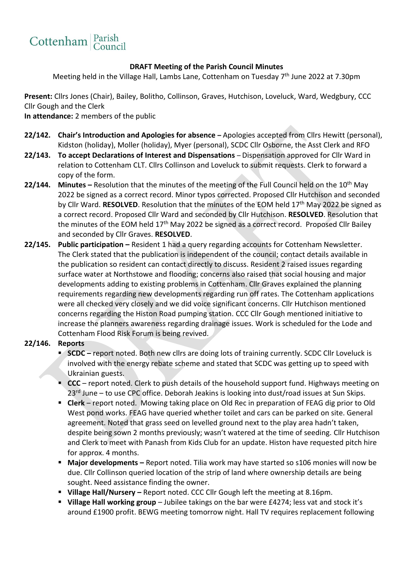

## **DRAFT Meeting of the Parish Council Minutes**

Meeting held in the Village Hall, Lambs Lane, Cottenham on Tuesday 7<sup>th</sup> June 2022 at 7.30pm

**Present:** Cllrs Jones (Chair), Bailey, Bolitho, Collinson, Graves, Hutchison, Loveluck, Ward, Wedgbury, CCC Cllr Gough and the Clerk

**In attendance:** 2 members of the public

- **22/142. Chair's Introduction and Apologies for absence –** Apologies accepted from Cllrs Hewitt (personal), Kidston (holiday), Moller (holiday), Myer (personal), SCDC Cllr Osborne, the Asst Clerk and RFO
- **22/143. To accept Declarations of Interest and Dispensations**  Dispensation approved for Cllr Ward in relation to Cottenham CLT. Cllrs Collinson and Loveluck to submit requests. Clerk to forward a copy of the form.
- **22/144.** Minutes Resolution that the minutes of the meeting of the Full Council held on the 10<sup>th</sup> May 2022 be signed as a correct record. Minor typos corrected. Proposed Cllr Hutchison and seconded by Cllr Ward. **RESOLVED**. Resolution that the minutes of the EOM held 17th May 2022 be signed as a correct record. Proposed Cllr Ward and seconded by Cllr Hutchison. **RESOLVED**. Resolution that the minutes of the EOM held 17<sup>th</sup> May 2022 be signed as a correct record. Proposed Cllr Bailey and seconded by Cllr Graves. **RESOLVED**.
- **22/145. Public participation –** Resident 1 had a query regarding accounts for Cottenham Newsletter. The Clerk stated that the publication is independent of the council; contact details available in the publication so resident can contact directly to discuss. Resident 2 raised issues regarding surface water at Northstowe and flooding; concerns also raised that social housing and major developments adding to existing problems in Cottenham. Cllr Graves explained the planning requirements regarding new developments regarding run off rates. The Cottenham applications were all checked very closely and we did voice significant concerns. Cllr Hutchison mentioned concerns regarding the Histon Road pumping station. CCC Cllr Gough mentioned initiative to increase the planners awareness regarding drainage issues. Work is scheduled for the Lode and Cottenham Flood Risk Forum is being revived.

## **22/146. Reports**

- **SCDC** report noted. Both new cllrs are doing lots of training currently. SCDC Cllr Loveluck is involved with the energy rebate scheme and stated that SCDC was getting up to speed with Ukrainian guests.
- **CCC**  report noted. Clerk to push details of the household support fund. Highways meeting on 23<sup>rd</sup> June – to use CPC office. Deborah Jeakins is looking into dust/road issues at Sun Skips.
- **Clerk** report noted. Mowing taking place on Old Rec in preparation of FEAG dig prior to Old West pond works. FEAG have queried whether toilet and cars can be parked on site. General agreement. Noted that grass seed on levelled ground next to the play area hadn't taken, despite being sown 2 months previously; wasn't watered at the time of seeding. Cllr Hutchison and Clerk to meet with Panash from Kids Club for an update. Histon have requested pitch hire for approx. 4 months.
- Major developments Report noted. Tilia work may have started so s106 monies will now be due. Cllr Collinson queried location of the strip of land where ownership details are being sought. Need assistance finding the owner.
- **Village Hall/Nursery –** Report noted. CCC Cllr Gough left the meeting at 8.16pm.
- **Village Hall working group** Jubilee takings on the bar were £4274; less vat and stock it's around £1900 profit. BEWG meeting tomorrow night. Hall TV requires replacement following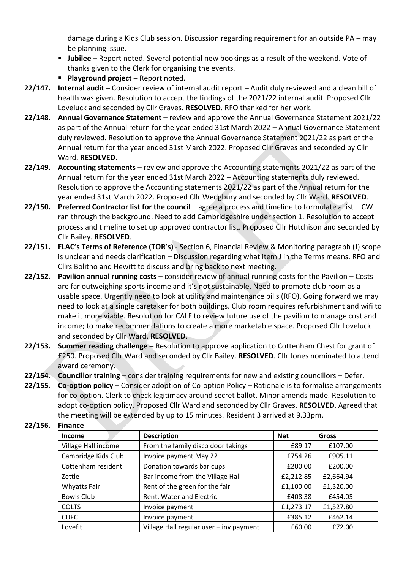damage during a Kids Club session. Discussion regarding requirement for an outside PA – may be planning issue.

- **E** Jubilee Report noted. Several potential new bookings as a result of the weekend. Vote of thanks given to the Clerk for organising the events.
- **Playground project**  Report noted.
- **22/147. Internal audit**  Consider review of internal audit report Audit duly reviewed and a clean bill of health was given. Resolution to accept the findings of the 2021/22 internal audit. Proposed Cllr Loveluck and seconded by Cllr Graves. **RESOLVED**. RFO thanked for her work.
- **22/148. Annual Governance Statement**  review and approve the Annual Governance Statement 2021/22 as part of the Annual return for the year ended 31st March 2022 – Annual Governance Statement duly reviewed. Resolution to approve the Annual Governance Statement 2021/22 as part of the Annual return for the year ended 31st March 2022. Proposed Cllr Graves and seconded by Cllr Ward. **RESOLVED**.
- **22/149. Accounting statements**  review and approve the Accounting statements 2021/22 as part of the Annual return for the year ended 31st March 2022 – Accounting statements duly reviewed. Resolution to approve the Accounting statements 2021/22 as part of the Annual return for the year ended 31st March 2022. Proposed Cllr Wedgbury and seconded by Cllr Ward. **RESOLVED**.
- **22/150. Preferred Contractor list for the council**  agree a process and timeline to formulate a list CW ran through the background. Need to add Cambridgeshire under section 1. Resolution to accept process and timeline to set up approved contractor list. Proposed Cllr Hutchison and seconded by Cllr Bailey. **RESOLVED**.
- **22/151. FLAC's Terms of Reference (TOR's)** Section 6, Financial Review & Monitoring paragraph (J) scope is unclear and needs clarification – Discussion regarding what item J in the Terms means. RFO and Cllrs Bolitho and Hewitt to discuss and bring back to next meeting.
- **22/152. Pavilion annual running costs**  consider review of annual running costs for the Pavilion Costs are far outweighing sports income and it's not sustainable. Need to promote club room as a usable space. Urgently need to look at utility and maintenance bills (RFO). Going forward we may need to look at a single caretaker for both buildings. Club room requires refurbishment and wifi to make it more viable. Resolution for CALF to review future use of the pavilion to manage cost and income; to make recommendations to create a more marketable space. Proposed Cllr Loveluck and seconded by Cllr Ward. **RESOLVED**.
- **22/153. Summer reading challenge** Resolution to approve application to Cottenham Chest for grant of £250. Proposed Cllr Ward and seconded by Cllr Bailey. **RESOLVED**. Cllr Jones nominated to attend award ceremony.
- **22/154. Councillor training** consider training requirements for new and existing councillors Defer.
- **22/155. Co-option policy**  Consider adoption of Co-option Policy Rationale is to formalise arrangements for co-option. Clerk to check legitimacy around secret ballot. Minor amends made. Resolution to adopt co-option policy. Proposed Cllr Ward and seconded by Cllr Graves. **RESOLVED**. Agreed that the meeting will be extended by up to 15 minutes. Resident 3 arrived at 9.33pm.

| .                   |                                         |            |           |  |  |
|---------------------|-----------------------------------------|------------|-----------|--|--|
| <b>Income</b>       | <b>Description</b>                      | <b>Net</b> | Gross     |  |  |
| Village Hall income | From the family disco door takings      | £89.17     | £107.00   |  |  |
| Cambridge Kids Club | Invoice payment May 22                  | £754.26    | £905.11   |  |  |
| Cottenham resident  | Donation towards bar cups               | £200.00    | £200.00   |  |  |
| Zettle              | Bar income from the Village Hall        | £2,212.85  | £2,664.94 |  |  |
| <b>Whyatts Fair</b> | Rent of the green for the fair          | £1,100.00  | £1,320.00 |  |  |
| Bowls Club          | Rent, Water and Electric                | £408.38    | £454.05   |  |  |
| <b>COLTS</b>        | Invoice payment                         | £1,273.17  | £1,527.80 |  |  |
| <b>CUFC</b>         | Invoice payment                         | £385.12    | £462.14   |  |  |
| Lovefit             | Village Hall regular user - inv payment | £60.00     | £72.00    |  |  |

**22/156. Finance**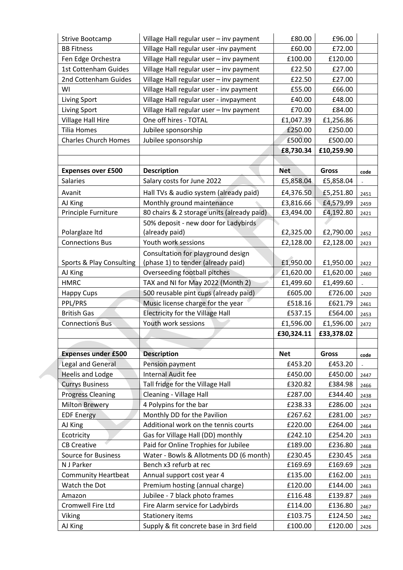| Strive Bootcamp             | Village Hall regular user - inv payment    | £80.00     | £96.00       |      |
|-----------------------------|--------------------------------------------|------------|--------------|------|
| <b>BB Fitness</b>           | Village Hall regular user -inv payment     | £60.00     | £72.00       |      |
| Fen Edge Orchestra          | Village Hall regular user - inv payment    | £100.00    | £120.00      |      |
| 1st Cottenham Guides        | Village Hall regular user - inv payment    | £22.50     | £27.00       |      |
| 2nd Cottenham Guides        | Village Hall regular user - inv payment    | £22.50     | £27.00       |      |
| WI                          | Village Hall regular user - inv payment    | £55.00     | £66.00       |      |
| Living Sport                | Village Hall regular user - invpayment     | £40.00     | £48.00       |      |
| Living Sport                | Village Hall regular user - Inv payment    | £70.00     | £84.00       |      |
| <b>Village Hall Hire</b>    | One off hires - TOTAL                      | £1,047.39  | £1,256.86    |      |
| <b>Tilia Homes</b>          | Jubilee sponsorship                        | £250.00    | £250.00      |      |
| <b>Charles Church Homes</b> | Jubilee sponsorship                        | £500.00    | £500.00      |      |
|                             |                                            | £8,730.34  | £10,259.90   |      |
|                             |                                            |            |              |      |
| <b>Expenses over £500</b>   | <b>Description</b>                         | <b>Net</b> | <b>Gross</b> | code |
| Salaries                    | Salary costs for June 2022                 | £5,858.04  | £5,858.04    |      |
| Avanit                      | Hall TVs & audio system (already paid)     | £4,376.50  | £5,251.80    | 2451 |
| AJ King                     | Monthly ground maintenance                 | £3,816.66  | £4,579.99    | 2459 |
| Principle Furniture         | 80 chairs & 2 storage units (already paid) | £3,494.00  | £4,192.80    | 2421 |
|                             | 50% deposit - new door for Ladybirds       |            |              |      |
| Polarglaze Itd              | (already paid)                             | £2,325.00  | £2,790.00    | 2452 |
| <b>Connections Bus</b>      | Youth work sessions                        | £2,128.00  | £2,128.00    | 2423 |
|                             | Consultation for playground design         |            |              |      |
| Sports & Play Consulting    | (phase 1) to tender (already paid)         | £1,950.00  | £1,950.00    | 2422 |
| AJ King                     | Overseeding football pitches               | £1,620.00  | £1,620.00    | 2460 |
| <b>HMRC</b>                 | TAX and NI for May 2022 (Month 2)          | £1,499.60  | £1,499.60    |      |
| <b>Happy Cups</b>           | 500 reusable pint cups (already paid)      | £605.00    | £726.00      | 2420 |
| PPL/PRS                     | Music license charge for the year          | £518.16    | £621.79      | 2461 |
| <b>British Gas</b>          | <b>Electricity for the Village Hall</b>    | £537.15    | £564.00      | 2453 |
| <b>Connections Bus</b>      | Youth work sessions                        | £1,596.00  | £1,596.00    | 2472 |
|                             |                                            | £30,324.11 | £33,378.02   |      |
|                             |                                            |            |              |      |
| <b>Expenses under £500</b>  | <b>Description</b>                         | <b>Net</b> | Gross        | code |
| <b>Legal and General</b>    | Pension payment                            | £453.20    | £453.20      |      |
| <b>Heelis and Lodge</b>     | <b>Internal Audit fee</b>                  | £450.00    | £450.00      | 2447 |
| <b>Currys Business</b>      | Tall fridge for the Village Hall           | £320.82    | £384.98      | 2466 |
| <b>Progress Cleaning</b>    | Cleaning - Village Hall                    | £287.00    | £344.40      | 2438 |
| <b>Milton Brewery</b>       | 4 Polypins for the bar                     | £238.33    | £286.00      | 2424 |
| <b>EDF Energy</b>           | Monthly DD for the Pavilion                | £267.62    | £281.00      | 2457 |
| AJ King                     | Additional work on the tennis courts       | £220.00    | £264.00      | 2464 |
|                             |                                            |            |              |      |
| Ecotricity                  | Gas for Village Hall (DD) monthly          | £242.10    | £254.20      | 2433 |
| <b>CB Creative</b>          | Paid for Online Trophies for Jubilee       | £189.00    | £236.80      | 2468 |
| <b>Source for Business</b>  | Water - Bowls & Allotments DD (6 month)    | £230.45    | £230.45      | 2458 |
| N J Parker                  | Bench x3 refurb at rec                     | £169.69    | £169.69      | 2428 |
| <b>Community Heartbeat</b>  | Annual support cost year 4                 | £135.00    | £162.00      | 2431 |
| Watch the Dot               | Premium hosting (annual charge)            | £120.00    | £144.00      | 2463 |
| Amazon                      | Jubilee - 7 black photo frames             | £116.48    | £139.87      | 2469 |
| Cromwell Fire Ltd           | Fire Alarm service for Ladybirds           | £114.00    | £136.80      | 2467 |
| Viking                      | Stationery items                           | £103.75    | £124.50      | 2462 |